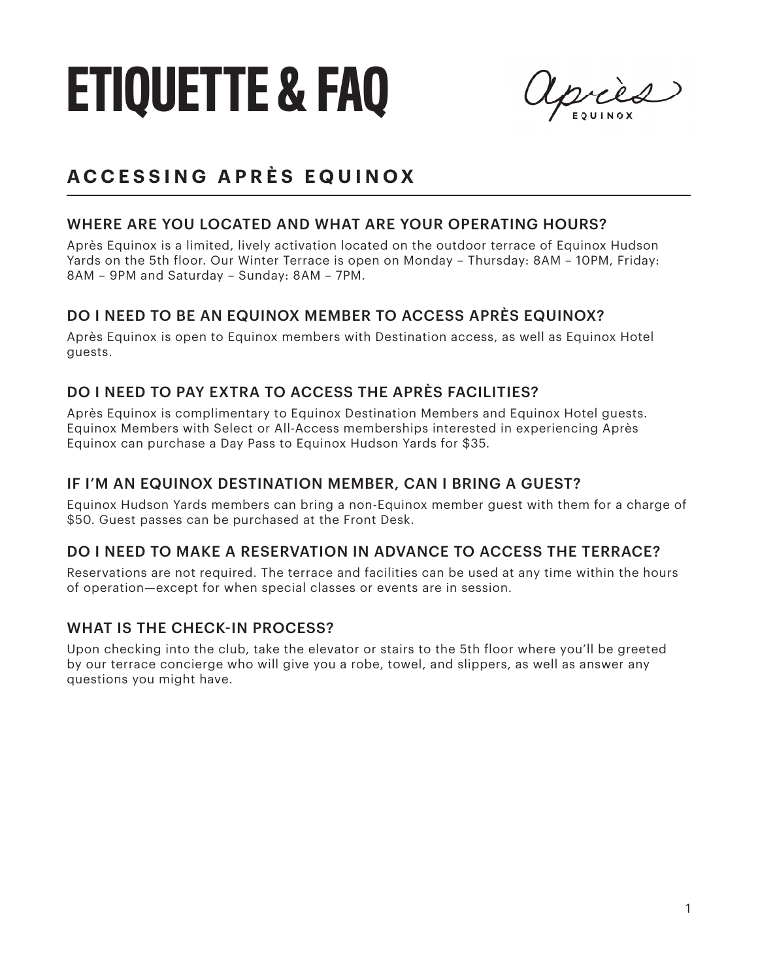## **A C C E S S I N G A P R È S E Q U I N O X**

### WHERE ARE YOU LOCATED AND WHAT ARE YOUR OPERATING HOURS?

Après Equinox is a limited, lively activation located on the outdoor terrace of Equinox Hudson Yards on the 5th floor. Our Winter Terrace is open on Monday – Thursday: 8AM – 10PM, Friday: 8AM – 9PM and Saturday – Sunday: 8AM – 7PM.

### DO I NEED TO BE AN EQUINOX MEMBER TO ACCESS APRÈS EQUINOX?

Après Equinox is open to Equinox members with Destination access, as well as Equinox Hotel guests.

### DO I NEED TO PAY EXTRA TO ACCESS THE APRÈS FACILITIES?

Après Equinox is complimentary to Equinox Destination Members and Equinox Hotel guests. Equinox Members with Select or All-Access memberships interested in experiencing Après Equinox can purchase a Day Pass to Equinox Hudson Yards for \$35.

### IF I'M AN EQUINOX DESTINATION MEMBER, CAN I BRING A GUEST?

Equinox Hudson Yards members can bring a non-Equinox member guest with them for a charge of \$50. Guest passes can be purchased at the Front Desk.

### DO I NEED TO MAKE A RESERVATION IN ADVANCE TO ACCESS THE TERRACE?

Reservations are not required. The terrace and facilities can be used at any time within the hours of operation—except for when special classes or events are in session.

## WHAT IS THE CHECK-IN PROCESS?

Upon checking into the club, take the elevator or stairs to the 5th floor where you'll be greeted by our terrace concierge who will give you a robe, towel, and slippers, as well as answer any questions you might have.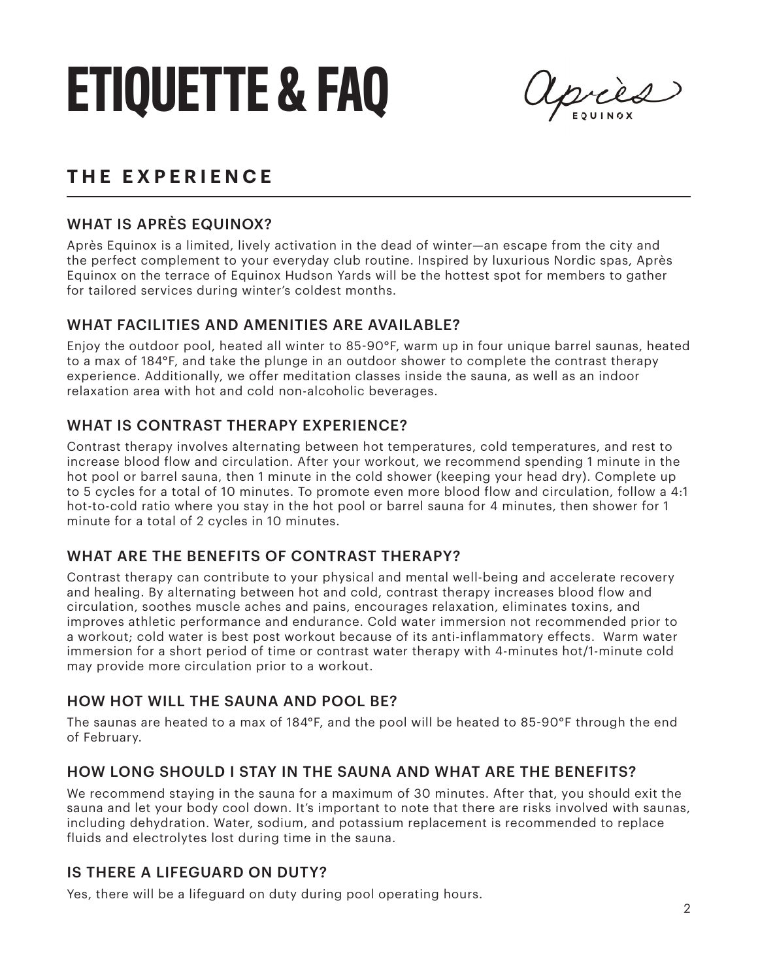## **T H E E X P E R I E N C E**

## WHAT IS APRÈS EQUINOX?

Après Equinox is a limited, lively activation in the dead of winter—an escape from the city and the perfect complement to your everyday club routine. Inspired by luxurious Nordic spas, Après Equinox on the terrace of Equinox Hudson Yards will be the hottest spot for members to gather for tailored services during winter's coldest months.

## WHAT FACILITIES AND AMENITIES ARE AVAILABLE?

Enjoy the outdoor pool, heated all winter to 85-90°F, warm up in four unique barrel saunas, heated to a max of 184°F, and take the plunge in an outdoor shower to complete the contrast therapy experience. Additionally, we offer meditation classes inside the sauna, as well as an indoor relaxation area with hot and cold non-alcoholic beverages.

## WHAT IS CONTRAST THERAPY EXPERIENCE?

Contrast therapy involves alternating between hot temperatures, cold temperatures, and rest to increase blood flow and circulation. After your workout, we recommend spending 1 minute in the hot pool or barrel sauna, then 1 minute in the cold shower (keeping your head dry). Complete up to 5 cycles for a total of 10 minutes. To promote even more blood flow and circulation, follow a 4:1 hot-to-cold ratio where you stay in the hot pool or barrel sauna for 4 minutes, then shower for 1 minute for a total of 2 cycles in 10 minutes.

## WHAT ARE THE BENEFITS OF CONTRAST THERAPY?

Contrast therapy can contribute to your physical and mental well-being and accelerate recovery and healing. By alternating between hot and cold, contrast therapy increases blood flow and circulation, soothes muscle aches and pains, encourages relaxation, eliminates toxins, and improves athletic performance and endurance. Cold water immersion not recommended prior to a workout; cold water is best post workout because of its anti-inflammatory effects. Warm water immersion for a short period of time or contrast water therapy with 4-minutes hot/1-minute cold may provide more circulation prior to a workout.

## HOW HOT WILL THE SAUNA AND POOL BE?

The saunas are heated to a max of 184°F, and the pool will be heated to 85-90°F through the end of February.

## HOW LONG SHOULD I STAY IN THE SAUNA AND WHAT ARE THE BENEFITS?

We recommend staying in the sauna for a maximum of 30 minutes. After that, you should exit the sauna and let your body cool down. It's important to note that there are risks involved with saunas, including dehydration. Water, sodium, and potassium replacement is recommended to replace fluids and electrolytes lost during time in the sauna.

## IS THERE A LIFEGUARD ON DUTY?

Yes, there will be a lifeguard on duty during pool operating hours.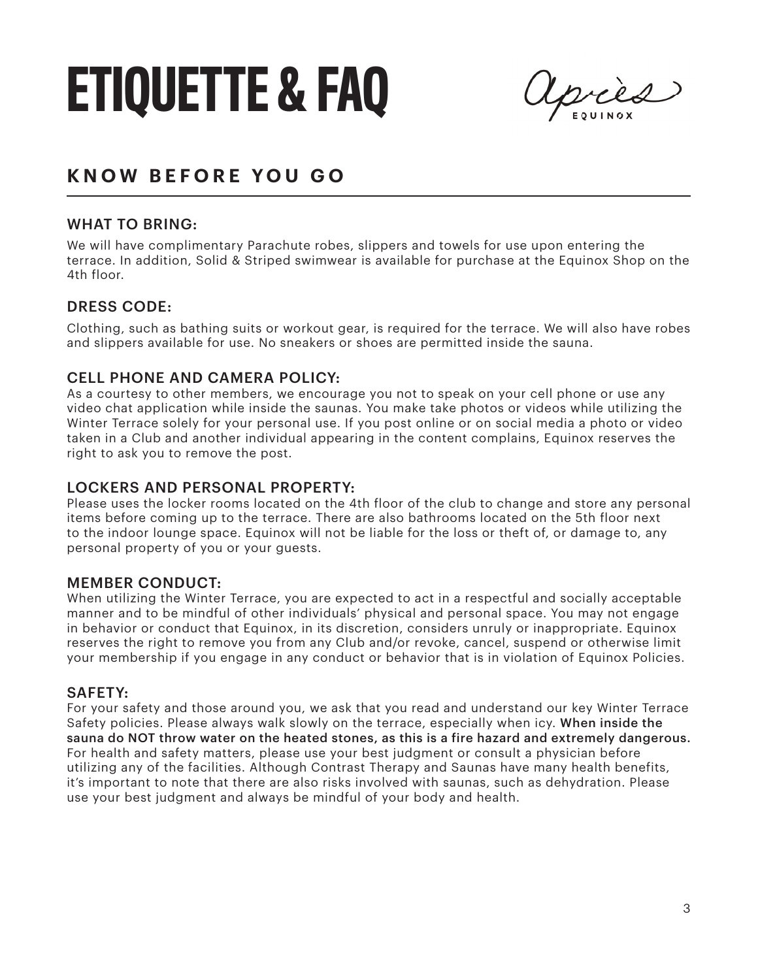## **K N O W B E F O R E Y O U G O**

#### WHAT TO BRING:

We will have complimentary Parachute robes, slippers and towels for use upon entering the terrace. In addition, Solid & Striped swimwear is available for purchase at the Equinox Shop on the 4th floor.

#### DRESS CODE:

Clothing, such as bathing suits or workout gear, is required for the terrace. We will also have robes and slippers available for use. No sneakers or shoes are permitted inside the sauna.

#### CELL PHONE AND CAMERA POLICY:

As a courtesy to other members, we encourage you not to speak on your cell phone or use any video chat application while inside the saunas. You make take photos or videos while utilizing the Winter Terrace solely for your personal use. If you post online or on social media a photo or video taken in a Club and another individual appearing in the content complains, Equinox reserves the right to ask you to remove the post.

#### LOCKERS AND PERSONAL PROPERTY:

Please uses the locker rooms located on the 4th floor of the club to change and store any personal items before coming up to the terrace. There are also bathrooms located on the 5th floor next to the indoor lounge space. Equinox will not be liable for the loss or theft of, or damage to, any personal property of you or your guests.

#### MEMBER CONDUCT:

When utilizing the Winter Terrace, you are expected to act in a respectful and socially acceptable manner and to be mindful of other individuals' physical and personal space. You may not engage in behavior or conduct that Equinox, in its discretion, considers unruly or inappropriate. Equinox reserves the right to remove you from any Club and/or revoke, cancel, suspend or otherwise limit your membership if you engage in any conduct or behavior that is in violation of Equinox Policies.

#### SAFETY:

For your safety and those around you, we ask that you read and understand our key Winter Terrace Safety policies. Please always walk slowly on the terrace, especially when icy. When inside the sauna do NOT throw water on the heated stones, as this is a fire hazard and extremely dangerous. For health and safety matters, please use your best judgment or consult a physician before utilizing any of the facilities. Although Contrast Therapy and Saunas have many health benefits, it's important to note that there are also risks involved with saunas, such as dehydration. Please use your best judgment and always be mindful of your body and health.